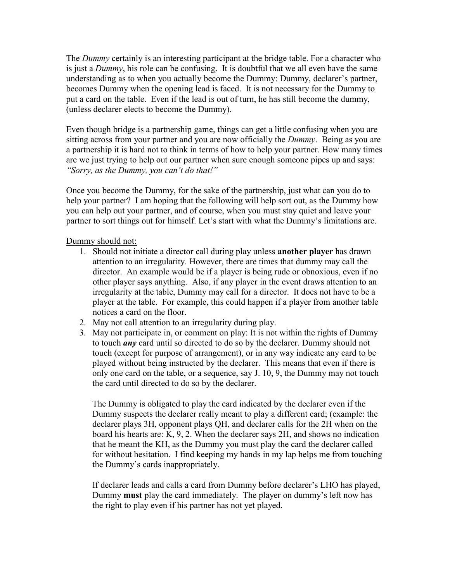The *Dummy* certainly is an interesting participant at the bridge table. For a character who is just a *Dummy*, his role can be confusing. It is doubtful that we all even have the same understanding as to when you actually become the Dummy: Dummy, declarer's partner, becomes Dummy when the opening lead is faced. It is not necessary for the Dummy to put a card on the table. Even if the lead is out of turn, he has still become the dummy, (unless declarer elects to become the Dummy).

Even though bridge is a partnership game, things can get a little confusing when you are sitting across from your partner and you are now officially the *Dummy*. Being as you are a partnership it is hard not to think in terms of how to help your partner. How many times are we just trying to help out our partner when sure enough someone pipes up and says: *"Sorry, as the Dummy, you can't do that!"*

Once you become the Dummy, for the sake of the partnership, just what can you do to help your partner? I am hoping that the following will help sort out, as the Dummy how you can help out your partner, and of course, when you must stay quiet and leave your partner to sort things out for himself. Let's start with what the Dummy's limitations are.

Dummy should not:

- 1. Should not initiate a director call during play unless **another player** has drawn attention to an irregularity. However, there are times that dummy may call the director. An example would be if a player is being rude or obnoxious, even if no other player says anything. Also, if any player in the event draws attention to an irregularity at the table, Dummy may call for a director. It does not have to be a player at the table. For example, this could happen if a player from another table notices a card on the floor.
- 2. May not call attention to an irregularity during play.
- 3. May not participate in, or comment on play: It is not within the rights of Dummy to touch *any* card until so directed to do so by the declarer. Dummy should not touch (except for purpose of arrangement), or in any way indicate any card to be played without being instructed by the declarer. This means that even if there is only one card on the table, or a sequence, say J. 10, 9, the Dummy may not touch the card until directed to do so by the declarer.

The Dummy is obligated to play the card indicated by the declarer even if the Dummy suspects the declarer really meant to play a different card; (example: the declarer plays 3H, opponent plays QH, and declarer calls for the 2H when on the board his hearts are: K, 9, 2. When the declarer says 2H, and shows no indication that he meant the KH, as the Dummy you must play the card the declarer called for without hesitation. I find keeping my hands in my lap helps me from touching the Dummy's cards inappropriately.

If declarer leads and calls a card from Dummy before declarer's LHO has played, Dummy **must** play the card immediately. The player on dummy's left now has the right to play even if his partner has not yet played.